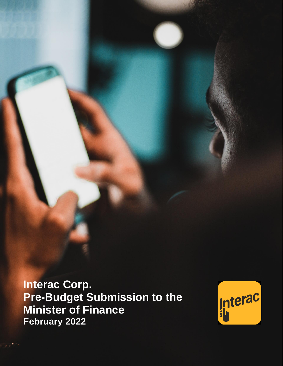**Interac Corp. Pre-Budget Submission to the Minister of Finance February 2022**

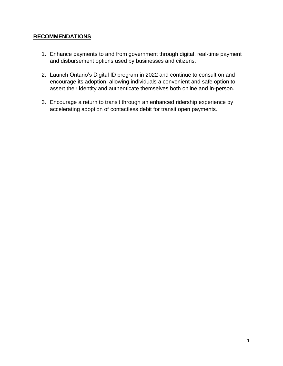# **RECOMMENDATIONS**

- 1. Enhance payments to and from government through digital, real-time payment and disbursement options used by businesses and citizens.
- 2. Launch Ontario's Digital ID program in 2022 and continue to consult on and encourage its adoption, allowing individuals a convenient and safe option to assert their identity and authenticate themselves both online and in-person.
- 3. Encourage a return to transit through an enhanced ridership experience by accelerating adoption of contactless debit for transit open payments.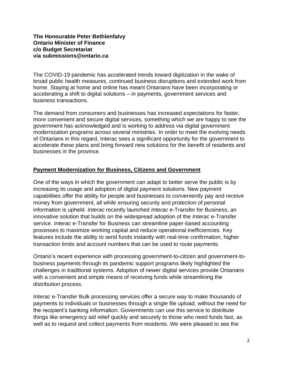#### **The Honourable Peter Bethlenfalvy Ontario Minister of Finance c/o Budget Secretariat via submissions@ontario.ca**

The COVID-19 pandemic has accelerated trends toward digitization in the wake of broad public health measures, continued business disruptions and extended work from home. Staying at home and online has meant Ontarians have been incorporating or accelerating a shift to digital solutions – in payments, government services and business transactions.

The demand from consumers and businesses has increased expectations for faster, more convenient and secure digital services, something which we are happy to see the government has acknowledged and is working to address via digital government modernization programs across several ministries. In order to meet the evolving needs of Ontarians in this regard, Interac sees a significant opportunity for the government to accelerate these plans and bring forward new solutions for the benefit of residents and businesses in the province.

#### **Payment Modernization for Business, Citizens and Government**

One of the ways in which the government can adapt to better serve the public is by increasing its usage and adoption of digital payment solutions. New payment capabilities offer the ability for people and businesses to conveniently pay and receive money from government, all while ensuring security and protection of personal information is upheld. *Interac* recently launched *Interac* e-Transfer for Business, an innovative solution that builds on the widespread adoption of the *Interac* e-Transfer service. *Interac* e-Transfer for Business can streamline paper-based accounting processes to maximize working capital and reduce operational inefficiencies. Key features include the ability to send funds instantly with real-time confirmation, higher transaction limits and account numbers that can be used to route payments.

Ontario's recent experience with processing government-to-citizen and government-tobusiness payments through its pandemic support programs likely highlighted the challenges in traditional systems. Adoption of newer digital services provide Ontarians with a convenient and simple means of receiving funds while streamlining the distribution process.

*Interac* e-Transfer Bulk processing services offer a secure way to make thousands of payments to individuals or businesses through a single file upload, without the need for the recipient's banking information. Governments can use this service to distribute things like emergency aid relief quickly and securely to those who need funds fast, as well as to request and collect payments from residents. We were pleased to see the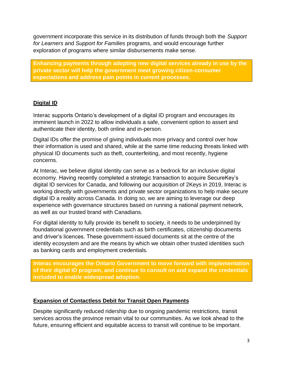government incorporate this service in its distribution of funds through both the *Support for Learners* and *Support for Families* programs, and would encourage further exploration of programs where similar disbursements make sense.

**Enhancing payments through adopting new digital services already in use by the private sector will help the government meet growing citizen-consumer expectations and address pain points in current processes.** 

# **Digital ID**

Interac supports Ontario's development of a digital ID program and encourages its imminent launch in 2022 to allow individuals a safe, convenient option to assert and authenticate their identity, both online and in-person.

Digital IDs offer the promise of giving individuals more privacy and control over how their information is used and shared, while at the same time reducing threats linked with physical ID documents such as theft, counterfeiting, and most recently, hygiene concerns.

At Interac, we believe digital identity can serve as a bedrock for an inclusive digital economy. Having recently completed a strategic transaction to acquire SecureKey's digital ID services for Canada, and following our acquisition of 2Keys in 2019, Interac is working directly with governments and private sector organizations to help make secure digital ID a reality across Canada. In doing so, we are aiming to leverage our deep experience with governance structures based on running a national payment network, as well as our trusted brand with Canadians.

For digital identity to fully provide its benefit to society, it needs to be underpinned by foundational government credentials such as birth certificates, citizenship documents and driver's licences. These government-issued documents sit at the centre of the identity ecosystem and are the means by which we obtain other trusted identities such as banking cards and employment credentials.

**Interac encourages the Ontario Government to move forward with implementation of their digital ID program, and continue to consult on and expand the credentials included to enable widespread adoption.** 

# **Expansion of Contactless Debit for Transit Open Payments**

Despite significantly reduced ridership due to ongoing pandemic restrictions, transit services across the province remain vital to our communities. As we look ahead to the future, ensuring efficient and equitable access to transit will continue to be important.